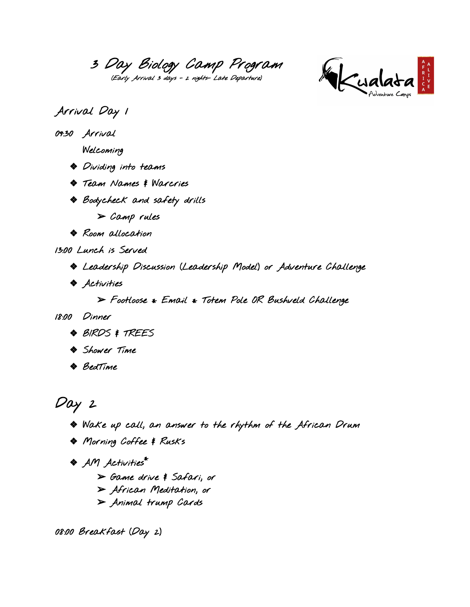3 Day Biology Camp Program (Early Arrival 3 days - 2 nights- Late Departure)



## Arrival Day 1

09:30 Arrival

Welcoming

- ❖ Dividing into teams
- ❖ Team Names & Warcries
- ❖ Bodycheck and safety drills
	- $>$  Camp rules
- ❖ Room allocation

13:00 Lunch is Served

- ❖ Leadership Discussion (Leadership Model) or Adventure Challenge
- ❖ Activities

 $\triangleright$  Footloose \* Email \* Totem Pole OR Bushveld Challenge

18:00 Dinner

- ❖ BIRDS & TREES
- ❖ Shower Time
- ❖ BedTime

Day 2

- ❖ Wake up call, an answer to the rhythm of the African Drum
- ❖ Morning Coffee & Rusks
- ❖ AM Activities \*
	- ➢ Game drive & Safari, or
	- ➢ African Meditation, or
	- ➢ Animal trump Cards

08:00 Breakfast (Day 2)